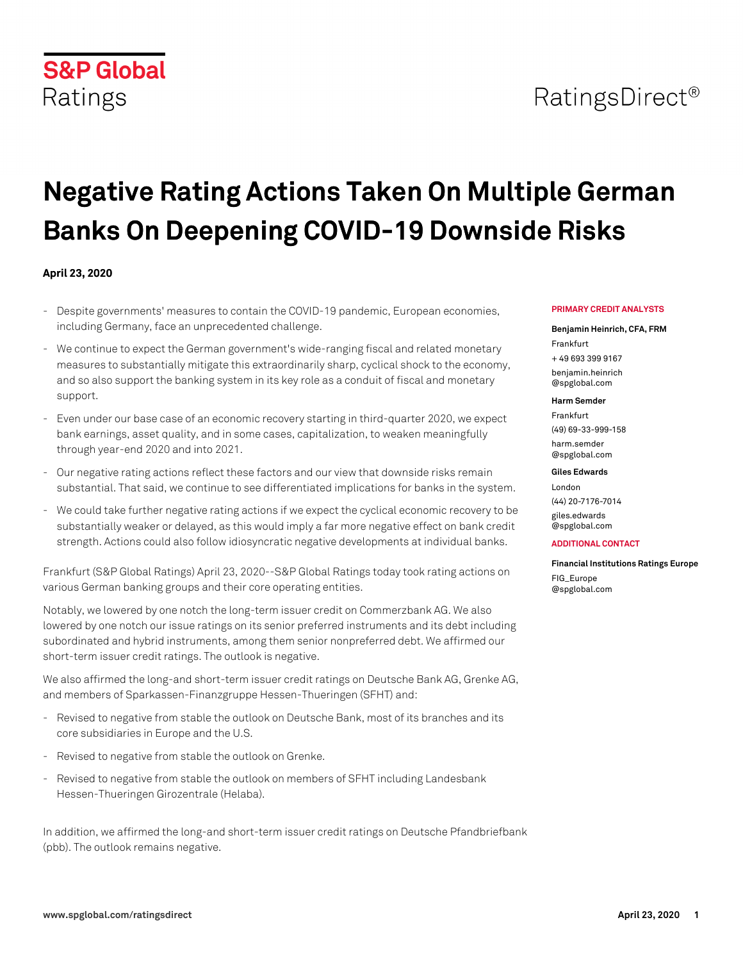# RatingsDirect<sup>®</sup>

# **Negative Rating Actions Taken On Multiple German Banks On Deepening COVID-19 Downside Risks**

#### **April 23, 2020**

- Despite governments' measures to contain the COVID-19 pandemic, European economies, including Germany, face an unprecedented challenge.
- We continue to expect the German government's wide-ranging fiscal and related monetary measures to substantially mitigate this extraordinarily sharp, cyclical shock to the economy, and so also support the banking system in its key role as a conduit of fiscal and monetary support.
- Even under our base case of an economic recovery starting in third-quarter 2020, we expect bank earnings, asset quality, and in some cases, capitalization, to weaken meaningfully through year-end 2020 and into 2021.
- Our negative rating actions reflect these factors and our view that downside risks remain substantial. That said, we continue to see differentiated implications for banks in the system.
- We could take further negative rating actions if we expect the cyclical economic recovery to be substantially weaker or delayed, as this would imply a far more negative effect on bank credit strength. Actions could also follow idiosyncratic negative developments at individual banks.

Frankfurt (S&P Global Ratings) April 23, 2020--S&P Global Ratings today took rating actions on various German banking groups and their core operating entities.

Notably, we lowered by one notch the long-term issuer credit on Commerzbank AG. We also lowered by one notch our issue ratings on its senior preferred instruments and its debt including subordinated and hybrid instruments, among them senior nonpreferred debt. We affirmed our short-term issuer credit ratings. The outlook is negative.

We also affirmed the long-and short-term issuer credit ratings on Deutsche Bank AG, Grenke AG, and members of Sparkassen-Finanzgruppe Hessen-Thueringen (SFHT) and:

- Revised to negative from stable the outlook on Deutsche Bank, most of its branches and its core subsidiaries in Europe and the U.S.
- Revised to negative from stable the outlook on Grenke.
- Revised to negative from stable the outlook on members of SFHT including Landesbank Hessen-Thueringen Girozentrale (Helaba).

In addition, we affirmed the long-and short-term issuer credit ratings on Deutsche Pfandbriefbank (pbb). The outlook remains negative.

#### **PRIMARY CREDIT ANALYSTS**

#### **Benjamin Heinrich, CFA, FRM**

Frankfurt + 49 693 399 9167 [benjamin.heinrich](mailto: benjamin.heinrich@spglobal.com) [@spglobal.com](mailto: benjamin.heinrich@spglobal.com)

#### **Harm Semder**

Frankfurt (49) 69-33-999-158 [harm.semder](mailto: harm.semder@spglobal.com) [@spglobal.com](mailto: harm.semder@spglobal.com)

#### **Giles Edwards**

London (44) 20-7176-7014 [giles.edwards](mailto: giles.edwards@spglobal.com)

[@spglobal.com](mailto: giles.edwards@spglobal.com)

#### **ADDITIONAL CONTACT**

**Financial Institutions Ratings Europe** [FIG\\_Europe](mailto: FIG_Europe@spglobal.com)

[@spglobal.com](mailto: FIG_Europe@spglobal.com)

## **S&P Global** Ratings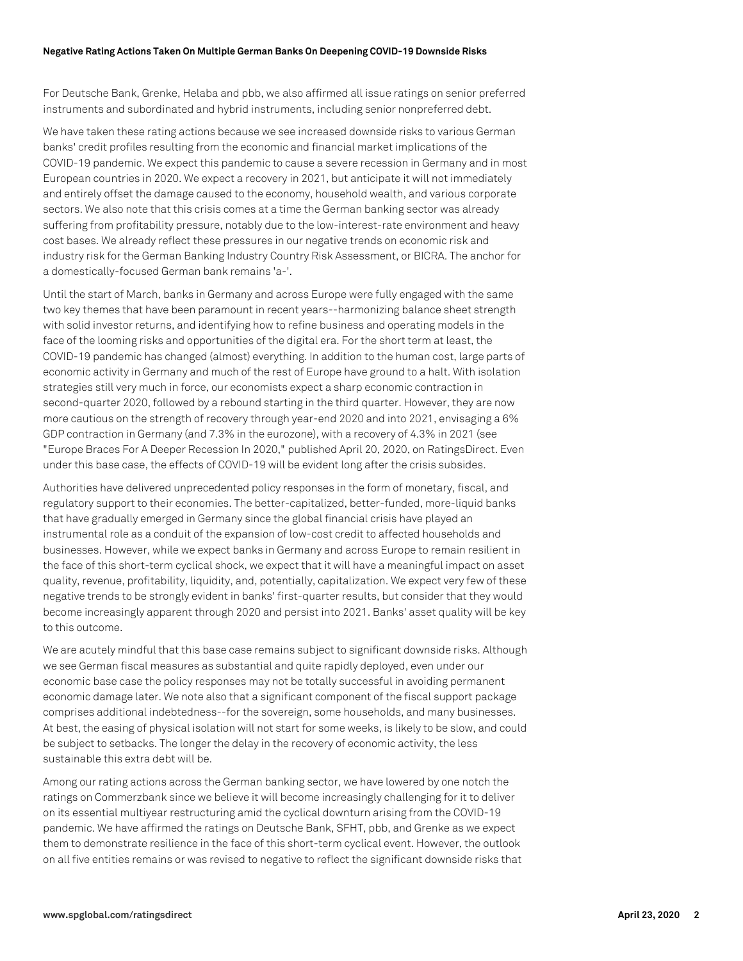For Deutsche Bank, Grenke, Helaba and pbb, we also affirmed all issue ratings on senior preferred instruments and subordinated and hybrid instruments, including senior nonpreferred debt.

We have taken these rating actions because we see increased downside risks to various German banks' credit profiles resulting from the economic and financial market implications of the COVID-19 pandemic. We expect this pandemic to cause a severe recession in Germany and in most European countries in 2020. We expect a recovery in 2021, but anticipate it will not immediately and entirely offset the damage caused to the economy, household wealth, and various corporate sectors. We also note that this crisis comes at a time the German banking sector was already suffering from profitability pressure, notably due to the low-interest-rate environment and heavy cost bases. We already reflect these pressures in our negative trends on economic risk and industry risk for the German Banking Industry Country Risk Assessment, or BICRA. The anchor for a domestically-focused German bank remains 'a-'.

Until the start of March, banks in Germany and across Europe were fully engaged with the same two key themes that have been paramount in recent years--harmonizing balance sheet strength with solid investor returns, and identifying how to refine business and operating models in the face of the looming risks and opportunities of the digital era. For the short term at least, the COVID-19 pandemic has changed (almost) everything. In addition to the human cost, large parts of economic activity in Germany and much of the rest of Europe have ground to a halt. With isolation strategies still very much in force, our economists expect a sharp economic contraction in second-quarter 2020, followed by a rebound starting in the third quarter. However, they are now more cautious on the strength of recovery through year-end 2020 and into 2021, envisaging a 6% GDP contraction in Germany (and 7.3% in the eurozone), with a recovery of 4.3% in 2021 (see "Europe Braces For A Deeper Recession In 2020," published April 20, 2020, on RatingsDirect. Even under this base case, the effects of COVID-19 will be evident long after the crisis subsides.

Authorities have delivered unprecedented policy responses in the form of monetary, fiscal, and regulatory support to their economies. The better-capitalized, better-funded, more-liquid banks that have gradually emerged in Germany since the global financial crisis have played an instrumental role as a conduit of the expansion of low-cost credit to affected households and businesses. However, while we expect banks in Germany and across Europe to remain resilient in the face of this short-term cyclical shock, we expect that it will have a meaningful impact on asset quality, revenue, profitability, liquidity, and, potentially, capitalization. We expect very few of these negative trends to be strongly evident in banks' first-quarter results, but consider that they would become increasingly apparent through 2020 and persist into 2021. Banks' asset quality will be key to this outcome.

We are acutely mindful that this base case remains subject to significant downside risks. Although we see German fiscal measures as substantial and quite rapidly deployed, even under our economic base case the policy responses may not be totally successful in avoiding permanent economic damage later. We note also that a significant component of the fiscal support package comprises additional indebtedness--for the sovereign, some households, and many businesses. At best, the easing of physical isolation will not start for some weeks, is likely to be slow, and could be subject to setbacks. The longer the delay in the recovery of economic activity, the less sustainable this extra debt will be.

Among our rating actions across the German banking sector, we have lowered by one notch the ratings on Commerzbank since we believe it will become increasingly challenging for it to deliver on its essential multiyear restructuring amid the cyclical downturn arising from the COVID-19 pandemic. We have affirmed the ratings on Deutsche Bank, SFHT, pbb, and Grenke as we expect them to demonstrate resilience in the face of this short-term cyclical event. However, the outlook on all five entities remains or was revised to negative to reflect the significant downside risks that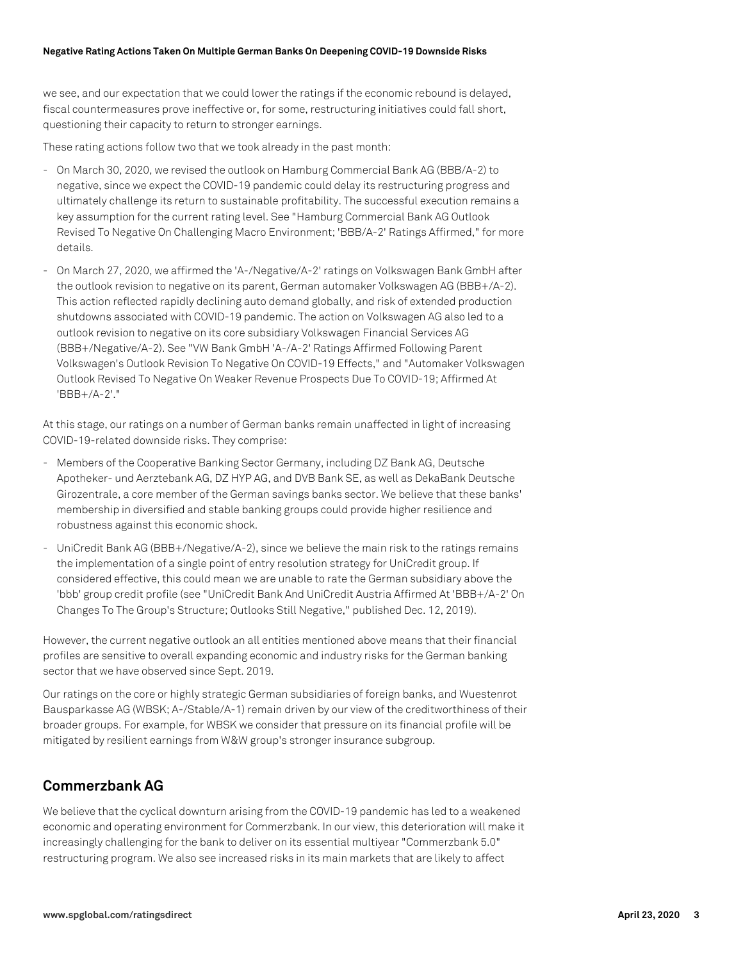#### **Negative Rating Actions Taken On Multiple German Banks On Deepening COVID-19 Downside Risks**

we see, and our expectation that we could lower the ratings if the economic rebound is delayed, fiscal countermeasures prove ineffective or, for some, restructuring initiatives could fall short, questioning their capacity to return to stronger earnings.

These rating actions follow two that we took already in the past month:

- On March 30, 2020, we revised the outlook on Hamburg Commercial Bank AG (BBB/A-2) to negative, since we expect the COVID-19 pandemic could delay its restructuring progress and ultimately challenge its return to sustainable profitability. The successful execution remains a key assumption for the current rating level. See "Hamburg Commercial Bank AG Outlook Revised To Negative On Challenging Macro Environment; 'BBB/A-2' Ratings Affirmed," for more details.
- On March 27, 2020, we affirmed the 'A-/Negative/A-2' ratings on Volkswagen Bank GmbH after the outlook revision to negative on its parent, German automaker Volkswagen AG (BBB+/A-2). This action reflected rapidly declining auto demand globally, and risk of extended production shutdowns associated with COVID-19 pandemic. The action on Volkswagen AG also led to a outlook revision to negative on its core subsidiary Volkswagen Financial Services AG (BBB+/Negative/A-2). See "VW Bank GmbH 'A-/A-2' Ratings Affirmed Following Parent Volkswagen's Outlook Revision To Negative On COVID-19 Effects," and "Automaker Volkswagen Outlook Revised To Negative On Weaker Revenue Prospects Due To COVID-19; Affirmed At 'BBB+/A-2'."

At this stage, our ratings on a number of German banks remain unaffected in light of increasing COVID-19-related downside risks. They comprise:

- Members of the Cooperative Banking Sector Germany, including DZ Bank AG, Deutsche Apotheker- und Aerztebank AG, DZ HYP AG, and DVB Bank SE, as well as DekaBank Deutsche Girozentrale, a core member of the German savings banks sector. We believe that these banks' membership in diversified and stable banking groups could provide higher resilience and robustness against this economic shock.
- UniCredit Bank AG (BBB+/Negative/A-2), since we believe the main risk to the ratings remains the implementation of a single point of entry resolution strategy for UniCredit group. If considered effective, this could mean we are unable to rate the German subsidiary above the 'bbb' group credit profile (see "UniCredit Bank And UniCredit Austria Affirmed At 'BBB+/A-2' On Changes To The Group's Structure; Outlooks Still Negative," published Dec. 12, 2019).

However, the current negative outlook an all entities mentioned above means that their financial profiles are sensitive to overall expanding economic and industry risks for the German banking sector that we have observed since Sept. 2019.

Our ratings on the core or highly strategic German subsidiaries of foreign banks, and Wuestenrot Bausparkasse AG (WBSK; A-/Stable/A-1) remain driven by our view of the creditworthiness of their broader groups. For example, for WBSK we consider that pressure on its financial profile will be mitigated by resilient earnings from W&W group's stronger insurance subgroup.

## **Commerzbank AG**

We believe that the cyclical downturn arising from the COVID-19 pandemic has led to a weakened economic and operating environment for Commerzbank. In our view, this deterioration will make it increasingly challenging for the bank to deliver on its essential multiyear "Commerzbank 5.0" restructuring program. We also see increased risks in its main markets that are likely to affect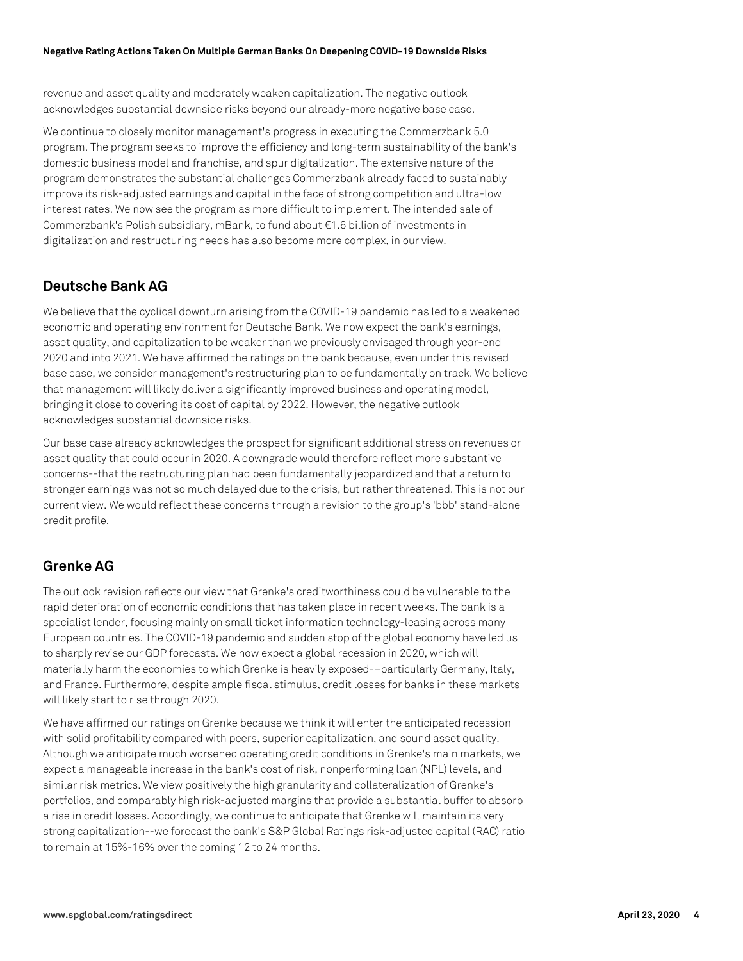revenue and asset quality and moderately weaken capitalization. The negative outlook acknowledges substantial downside risks beyond our already-more negative base case.

We continue to closely monitor management's progress in executing the Commerzbank 5.0 program. The program seeks to improve the efficiency and long-term sustainability of the bank's domestic business model and franchise, and spur digitalization. The extensive nature of the program demonstrates the substantial challenges Commerzbank already faced to sustainably improve its risk-adjusted earnings and capital in the face of strong competition and ultra-low interest rates. We now see the program as more difficult to implement. The intended sale of Commerzbank's Polish subsidiary, mBank, to fund about €1.6 billion of investments in digitalization and restructuring needs has also become more complex, in our view.

## **Deutsche Bank AG**

We believe that the cyclical downturn arising from the COVID-19 pandemic has led to a weakened economic and operating environment for Deutsche Bank. We now expect the bank's earnings, asset quality, and capitalization to be weaker than we previously envisaged through year-end 2020 and into 2021. We have affirmed the ratings on the bank because, even under this revised base case, we consider management's restructuring plan to be fundamentally on track. We believe that management will likely deliver a significantly improved business and operating model, bringing it close to covering its cost of capital by 2022. However, the negative outlook acknowledges substantial downside risks.

Our base case already acknowledges the prospect for significant additional stress on revenues or asset quality that could occur in 2020. A downgrade would therefore reflect more substantive concerns--that the restructuring plan had been fundamentally jeopardized and that a return to stronger earnings was not so much delayed due to the crisis, but rather threatened. This is not our current view. We would reflect these concerns through a revision to the group's 'bbb' stand-alone credit profile.

## **Grenke AG**

The outlook revision reflects our view that Grenke's creditworthiness could be vulnerable to the rapid deterioration of economic conditions that has taken place in recent weeks. The bank is a specialist lender, focusing mainly on small ticket information technology-leasing across many European countries. The COVID-19 pandemic and sudden stop of the global economy have led us to sharply revise our GDP forecasts. We now expect a global recession in 2020, which will materially harm the economies to which Grenke is heavily exposed-–particularly Germany, Italy, and France. Furthermore, despite ample fiscal stimulus, credit losses for banks in these markets will likely start to rise through 2020.

We have affirmed our ratings on Grenke because we think it will enter the anticipated recession with solid profitability compared with peers, superior capitalization, and sound asset quality. Although we anticipate much worsened operating credit conditions in Grenke's main markets, we expect a manageable increase in the bank's cost of risk, nonperforming loan (NPL) levels, and similar risk metrics. We view positively the high granularity and collateralization of Grenke's portfolios, and comparably high risk-adjusted margins that provide a substantial buffer to absorb a rise in credit losses. Accordingly, we continue to anticipate that Grenke will maintain its very strong capitalization--we forecast the bank's S&P Global Ratings risk-adjusted capital (RAC) ratio to remain at 15%-16% over the coming 12 to 24 months.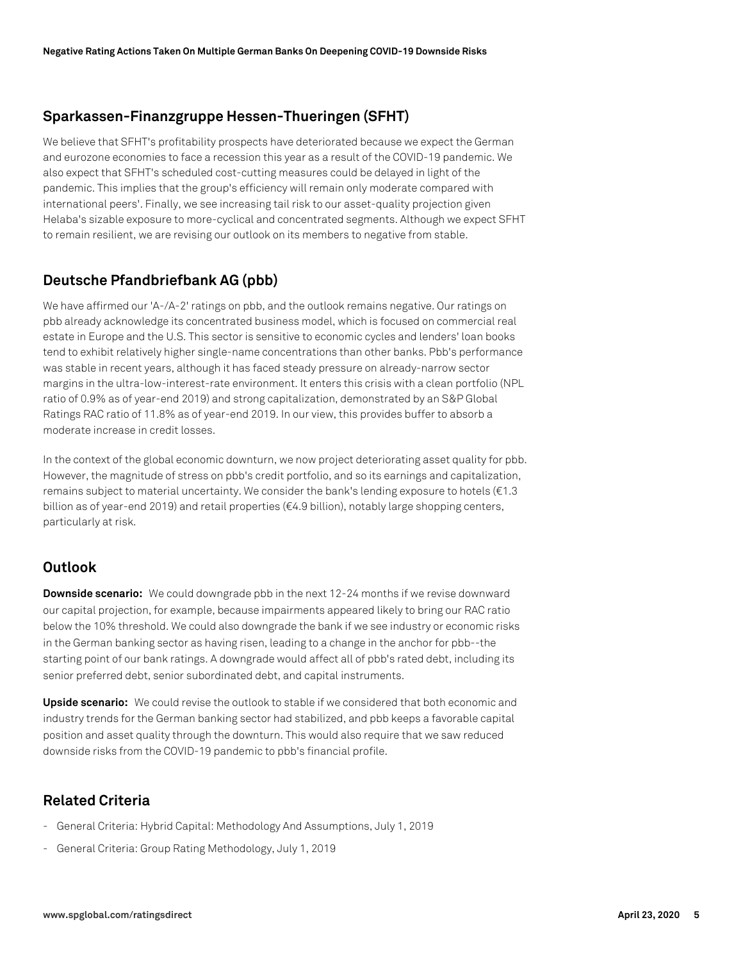## **Sparkassen-Finanzgruppe Hessen-Thueringen (SFHT)**

We believe that SFHT's profitability prospects have deteriorated because we expect the German and eurozone economies to face a recession this year as a result of the COVID-19 pandemic. We also expect that SFHT's scheduled cost-cutting measures could be delayed in light of the pandemic. This implies that the group's efficiency will remain only moderate compared with international peers'. Finally, we see increasing tail risk to our asset-quality projection given Helaba's sizable exposure to more-cyclical and concentrated segments. Although we expect SFHT to remain resilient, we are revising our outlook on its members to negative from stable.

## **Deutsche Pfandbriefbank AG (pbb)**

We have affirmed our 'A-/A-2' ratings on pbb, and the outlook remains negative. Our ratings on pbb already acknowledge its concentrated business model, which is focused on commercial real estate in Europe and the U.S. This sector is sensitive to economic cycles and lenders' loan books tend to exhibit relatively higher single-name concentrations than other banks. Pbb's performance was stable in recent years, although it has faced steady pressure on already-narrow sector margins in the ultra-low-interest-rate environment. It enters this crisis with a clean portfolio (NPL ratio of 0.9% as of year-end 2019) and strong capitalization, demonstrated by an S&P Global Ratings RAC ratio of 11.8% as of year-end 2019. In our view, this provides buffer to absorb a moderate increase in credit losses.

In the context of the global economic downturn, we now project deteriorating asset quality for pbb. However, the magnitude of stress on pbb's credit portfolio, and so its earnings and capitalization, remains subject to material uncertainty. We consider the bank's lending exposure to hotels (€1.3 billion as of year-end 2019) and retail properties (€4.9 billion), notably large shopping centers, particularly at risk.

### **Outlook**

**Downside scenario:** We could downgrade pbb in the next 12-24 months if we revise downward our capital projection, for example, because impairments appeared likely to bring our RAC ratio below the 10% threshold. We could also downgrade the bank if we see industry or economic risks in the German banking sector as having risen, leading to a change in the anchor for pbb--the starting point of our bank ratings. A downgrade would affect all of pbb's rated debt, including its senior preferred debt, senior subordinated debt, and capital instruments.

**Upside scenario:** We could revise the outlook to stable if we considered that both economic and industry trends for the German banking sector had stabilized, and pbb keeps a favorable capital position and asset quality through the downturn. This would also require that we saw reduced downside risks from the COVID-19 pandemic to pbb's financial profile.

## **Related Criteria**

- General Criteria: Hybrid Capital: Methodology And Assumptions, July 1, 2019
- General Criteria: Group Rating Methodology, July 1, 2019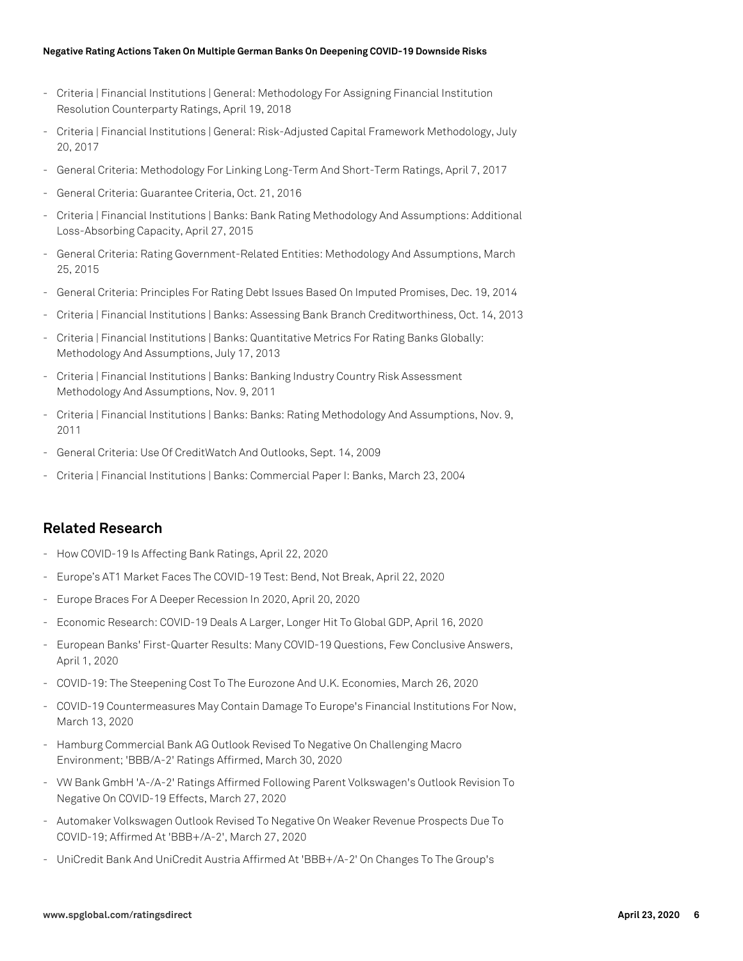#### **Negative Rating Actions Taken On Multiple German Banks On Deepening COVID-19 Downside Risks**

- Criteria | Financial Institutions | General: Methodology For Assigning Financial Institution Resolution Counterparty Ratings, April 19, 2018
- Criteria | Financial Institutions | General: Risk-Adjusted Capital Framework Methodology, July 20, 2017
- General Criteria: Methodology For Linking Long-Term And Short-Term Ratings, April 7, 2017
- General Criteria: Guarantee Criteria, Oct. 21, 2016
- Criteria | Financial Institutions | Banks: Bank Rating Methodology And Assumptions: Additional Loss-Absorbing Capacity, April 27, 2015
- General Criteria: Rating Government-Related Entities: Methodology And Assumptions, March 25, 2015
- General Criteria: Principles For Rating Debt Issues Based On Imputed Promises, Dec. 19, 2014
- Criteria | Financial Institutions | Banks: Assessing Bank Branch Creditworthiness, Oct. 14, 2013
- Criteria | Financial Institutions | Banks: Quantitative Metrics For Rating Banks Globally: Methodology And Assumptions, July 17, 2013
- Criteria | Financial Institutions | Banks: Banking Industry Country Risk Assessment Methodology And Assumptions, Nov. 9, 2011
- Criteria | Financial Institutions | Banks: Banks: Rating Methodology And Assumptions, Nov. 9, 2011
- General Criteria: Use Of CreditWatch And Outlooks, Sept. 14, 2009
- Criteria | Financial Institutions | Banks: Commercial Paper I: Banks, March 23, 2004

#### **Related Research**

- How COVID-19 Is Affecting Bank Ratings, April 22, 2020
- Europe's AT1 Market Faces The COVID-19 Test: Bend, Not Break, April 22, 2020
- Europe Braces For A Deeper Recession In 2020, April 20, 2020
- Economic Research: COVID-19 Deals A Larger, Longer Hit To Global GDP, April 16, 2020
- European Banks' First-Quarter Results: Many COVID-19 Questions, Few Conclusive Answers, April 1, 2020
- COVID-19: The Steepening Cost To The Eurozone And U.K. Economies, March 26, 2020
- COVID-19 Countermeasures May Contain Damage To Europe's Financial Institutions For Now, March 13, 2020
- Hamburg Commercial Bank AG Outlook Revised To Negative On Challenging Macro Environment; 'BBB/A-2' Ratings Affirmed, March 30, 2020
- VW Bank GmbH 'A-/A-2' Ratings Affirmed Following Parent Volkswagen's Outlook Revision To Negative On COVID-19 Effects, March 27, 2020
- Automaker Volkswagen Outlook Revised To Negative On Weaker Revenue Prospects Due To COVID-19; Affirmed At 'BBB+/A-2', March 27, 2020
- UniCredit Bank And UniCredit Austria Affirmed At 'BBB+/A-2' On Changes To The Group's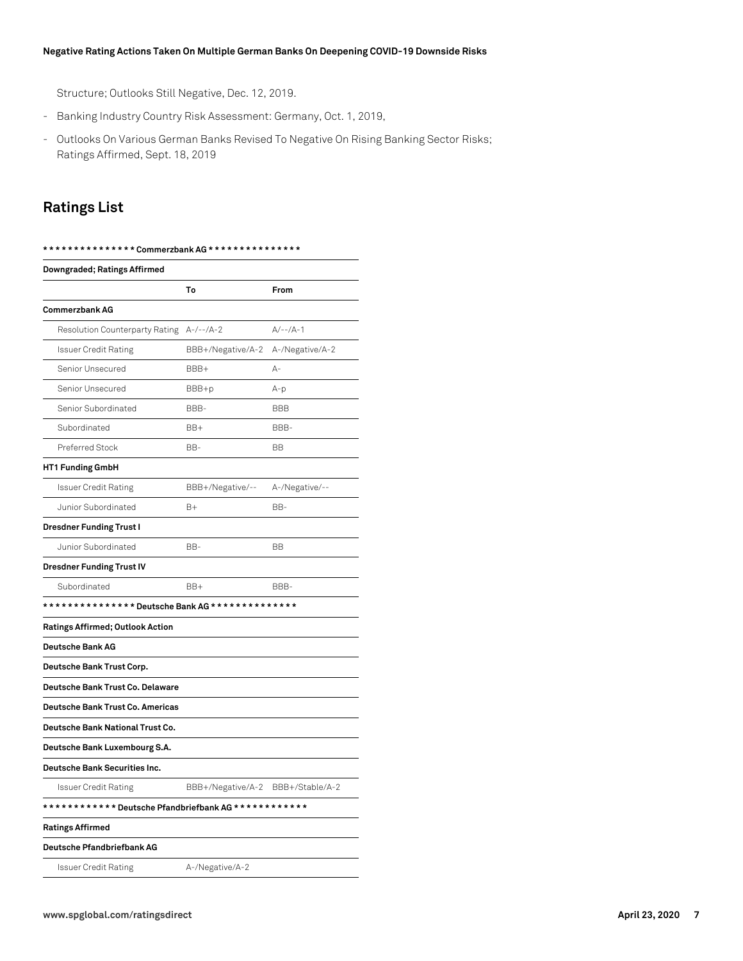#### **Negative Rating Actions Taken On Multiple German Banks On Deepening COVID-19 Downside Risks**

Structure; Outlooks Still Negative, Dec. 12, 2019.

- Banking Industry Country Risk Assessment: Germany, Oct. 1, 2019,
- Outlooks On Various German Banks Revised To Negative On Rising Banking Sector Risks; Ratings Affirmed, Sept. 18, 2019

## **Ratings List**

| Downgraded; Ratings Affirmed                    |                                   |                 |  |
|-------------------------------------------------|-----------------------------------|-----------------|--|
|                                                 | To                                | From            |  |
| <b>Commerzbank AG</b>                           |                                   |                 |  |
| Resolution Counterparty Rating                  | $A-/--/A-2$                       | $A/-- /A-1$     |  |
| <b>Issuer Credit Rating</b>                     | BBB+/Negative/A-2                 | A-/Negative/A-2 |  |
| Senior Unsecured                                | BBB+                              | А-              |  |
| Senior Unsecured                                | BBB+p                             | $A-p$           |  |
| Senior Subordinated                             | BBB-                              | <b>BBB</b>      |  |
| Subordinated                                    | BB+                               | BBB-            |  |
| Preferred Stock                                 | BB-                               | <b>BB</b>       |  |
| HT1 Funding GmbH                                |                                   |                 |  |
| Issuer Credit Rating                            | BBB+/Negative/--                  | A-/Negative/--  |  |
| Junior Subordinated                             | B+                                | BB-             |  |
| <b>Dresdner Funding Trust I</b>                 |                                   |                 |  |
| Junior Subordinated                             | BB-                               | <b>BB</b>       |  |
| <b>Dresdner Funding Trust IV</b>                |                                   |                 |  |
| Subordinated                                    | BB+                               | BBB-            |  |
| *************** Deutsche Bank AG ************** |                                   |                 |  |
| Ratings Affirmed; Outlook Action                |                                   |                 |  |
| <b>Deutsche Bank AG</b>                         |                                   |                 |  |
| Deutsche Bank Trust Corp.                       |                                   |                 |  |
| Deutsche Bank Trust Co. Delaware                |                                   |                 |  |
| Deutsche Bank Trust Co. Americas                |                                   |                 |  |
| Deutsche Bank National Trust Co.                |                                   |                 |  |
| Deutsche Bank Luxembourg S.A.                   |                                   |                 |  |
| Deutsche Bank Securities Inc.                   |                                   |                 |  |
| <b>Issuer Credit Rating</b>                     | BBB+/Negative/A-2 BBB+/Stable/A-2 |                 |  |
|                                                 |                                   |                 |  |
| <b>Ratings Affirmed</b>                         |                                   |                 |  |
| Deutsche Pfandbriefbank AG                      |                                   |                 |  |
| <b>Issuer Credit Rating</b>                     | A-/Negative/A-2                   |                 |  |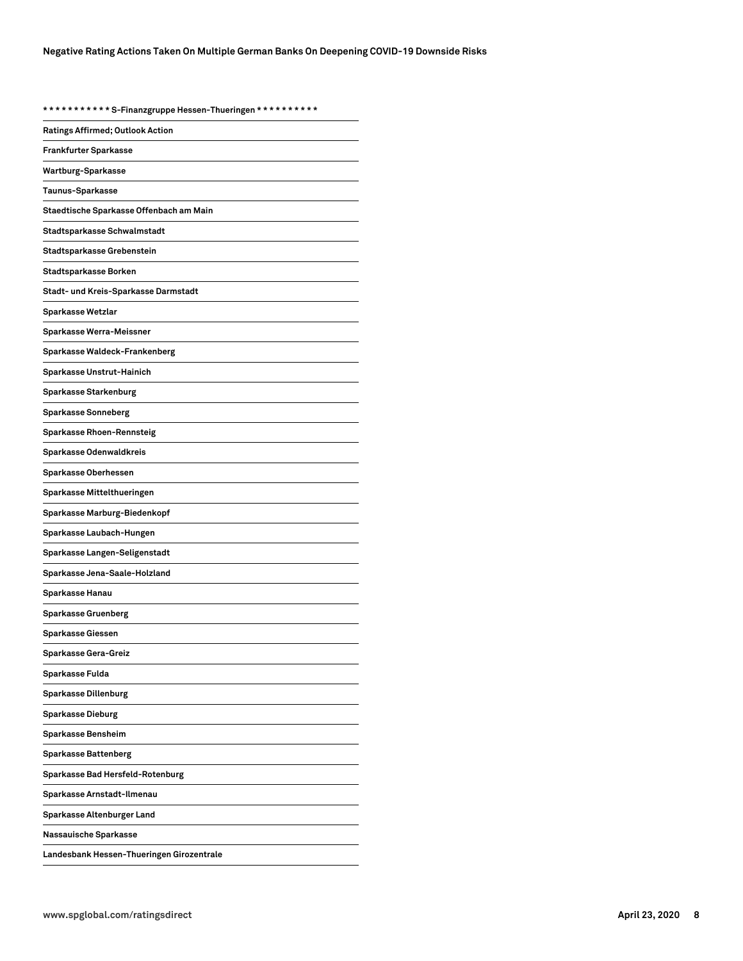**\* \* \* \* \* \* \* \* \* \* \* S-Finanzgruppe Hessen-Thueringen \* \* \* \* \* \* \* \* \* \***

| U                                         |
|-------------------------------------------|
| Ratings Affirmed; Outlook Action          |
| <b>Frankfurter Sparkasse</b>              |
| Wartburg-Sparkasse                        |
| Taunus-Sparkasse                          |
| Staedtische Sparkasse Offenbach am Main   |
| Stadtsparkasse Schwalmstadt               |
| Stadtsparkasse Grebenstein                |
| Stadtsparkasse Borken                     |
| Stadt- und Kreis-Sparkasse Darmstadt      |
| Sparkasse Wetzlar                         |
| Sparkasse Werra-Meissner                  |
| Sparkasse Waldeck-Frankenberg             |
| Sparkasse Unstrut-Hainich                 |
| Sparkasse Starkenburg                     |
| Sparkasse Sonneberg                       |
| Sparkasse Rhoen-Rennsteig                 |
| Sparkasse Odenwaldkreis                   |
| Sparkasse Oberhessen                      |
| Sparkasse Mittelthueringen                |
| Sparkasse Marburg-Biedenkopf              |
| Sparkasse Laubach-Hungen                  |
| Sparkasse Langen-Seligenstadt             |
| Sparkasse Jena-Saale-Holzland             |
| Sparkasse Hanau                           |
| <b>Sparkasse Gruenberg</b>                |
| Sparkasse Giessen                         |
| Sparkasse Gera-Greiz                      |
| Sparkasse Fulda                           |
| <b>Sparkasse Dillenburg</b>               |
| <b>Sparkasse Dieburg</b>                  |
| Sparkasse Bensheim                        |
| Sparkasse Battenberg                      |
| Sparkasse Bad Hersfeld-Rotenburg          |
| Sparkasse Arnstadt-Ilmenau                |
| Sparkasse Altenburger Land                |
| Nassauische Sparkasse                     |
| Landesbank Hessen-Thueringen Girozentrale |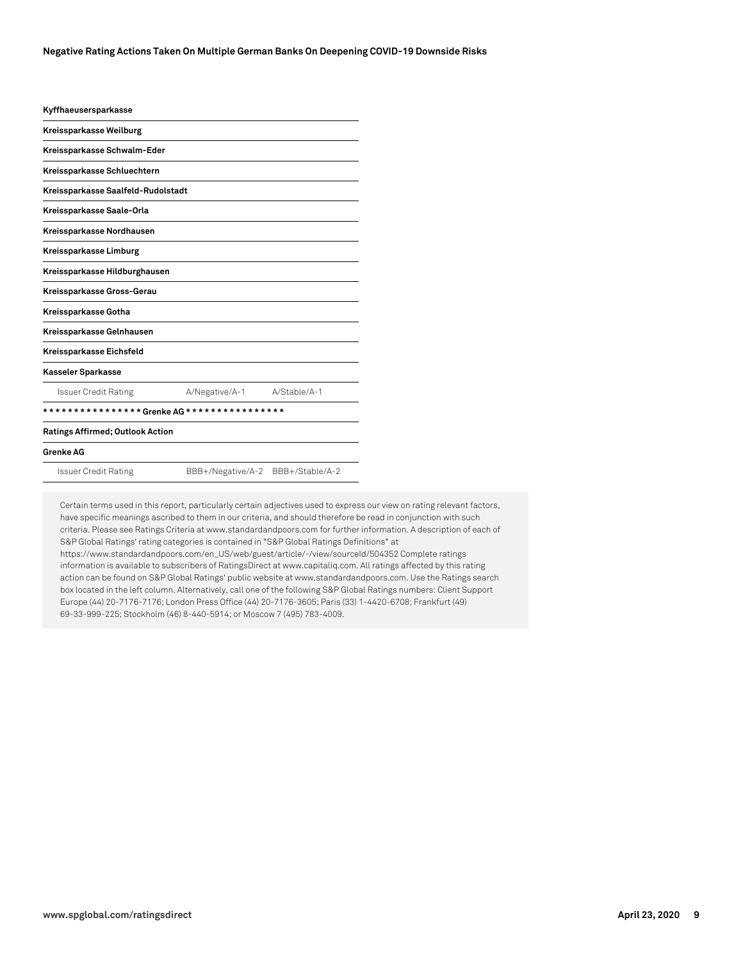| Kyffhaeusersparkasse                    |                   |                 |
|-----------------------------------------|-------------------|-----------------|
| Kreissparkasse Weilburg                 |                   |                 |
| Kreissparkasse Schwalm-Eder             |                   |                 |
| Kreissparkasse Schluechtern             |                   |                 |
| Kreissparkasse Saalfeld-Rudolstadt      |                   |                 |
| Kreissparkasse Saale-Orla               |                   |                 |
| Kreissparkasse Nordhausen               |                   |                 |
| Kreissparkasse Limburg                  |                   |                 |
| Kreissparkasse Hildburghausen           |                   |                 |
| Kreissparkasse Gross-Gerau              |                   |                 |
| Kreissparkasse Gotha                    |                   |                 |
| Kreissparkasse Gelnhausen               |                   |                 |
| Kreissparkasse Eichsfeld                |                   |                 |
| Kasseler Sparkasse                      |                   |                 |
| <b>Issuer Credit Rating</b>             | A/Negative/A-1    | A/Stable/A-1    |
|                                         |                   |                 |
| <b>Ratings Affirmed; Outlook Action</b> |                   |                 |
| <b>Grenke AG</b>                        |                   |                 |
| Issuer Credit Rating                    | BBB+/Negative/A-2 | BBB+/Stable/A-2 |
|                                         |                   |                 |

Certain terms used in this report, particularly certain adjectives used to express our view on rating relevant factors, have specific meanings ascribed to them in our criteria, and should therefore be read in conjunction with such criteria. Please see Ratings Criteria at www.standardandpoors.com for further information. A description of each of S&P Global Ratings' rating categories is contained in "S&P Global Ratings Definitions" at https://www.standardandpoors.com/en\_US/web/guest/article/-/view/sourceId/504352 Complete ratings information is available to subscribers of RatingsDirect at www.capitaliq.com. All ratings affected by this rating action can be found on S&P Global Ratings' public website at www.standardandpoors.com. Use the Ratings search box located in the left column. Alternatively, call one of the following S&P Global Ratings numbers: Client Support Europe (44) 20-7176-7176; London Press Office (44) 20-7176-3605; Paris (33) 1-4420-6708; Frankfurt (49) 69-33-999-225; Stockholm (46) 8-440-5914; or Moscow 7 (495) 783-4009.